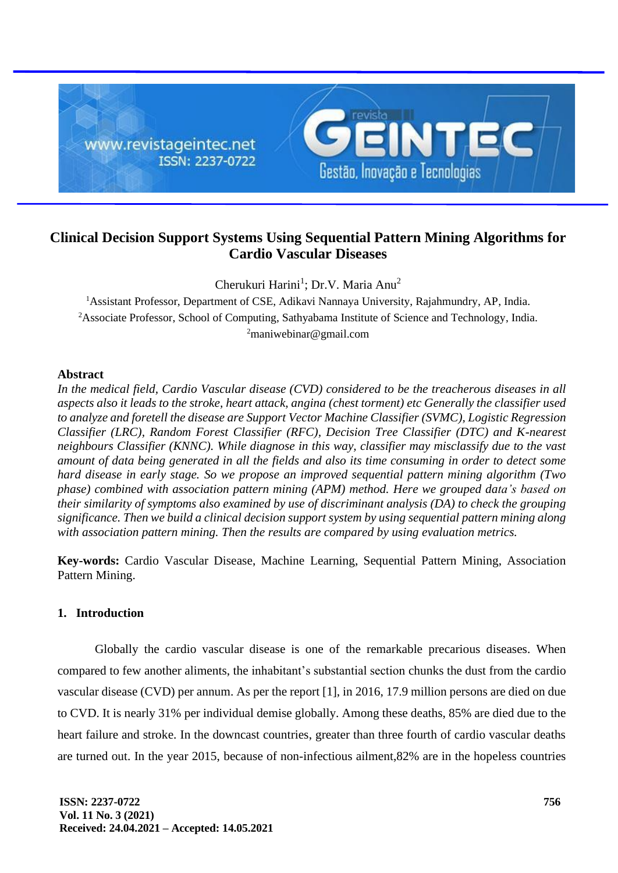

# **Clinical Decision Support Systems Using Sequential Pattern Mining Algorithms for Cardio Vascular Diseases**

Cherukuri Harini<sup>1</sup>; Dr.V. Maria Anu<sup>2</sup>

<sup>1</sup> Assistant Professor, Department of CSE, Adikavi Nannaya University, Rajahmundry, AP, India. <sup>2</sup>Associate Professor, School of Computing, Sathyabama Institute of Science and Technology, India. <sup>2</sup>maniwebinar@gmail.com

# **Abstract**

*In the medical field, Cardio Vascular disease (CVD) considered to be the treacherous diseases in all aspects also it leads to the stroke, heart attack, angina (chest torment) etc Generally the classifier used to analyze and foretell the disease are Support Vector Machine Classifier (SVMC), Logistic Regression Classifier (LRC), Random Forest Classifier (RFC), Decision Tree Classifier (DTC) and K-nearest neighbours Classifier (KNNC). While diagnose in this way, classifier may misclassify due to the vast amount of data being generated in all the fields and also its time consuming in order to detect some hard disease in early stage. So we propose an improved sequential pattern mining algorithm (Two phase) combined with association pattern mining (APM) method. Here we grouped data's based on their similarity of symptoms also examined by use of discriminant analysis (DA) to check the grouping significance. Then we build a clinical decision support system by using sequential pattern mining along with association pattern mining. Then the results are compared by using evaluation metrics.*

**Key-words:** Cardio Vascular Disease, Machine Learning, Sequential Pattern Mining, Association Pattern Mining.

# **1. Introduction**

Globally the cardio vascular disease is one of the remarkable precarious diseases. When compared to few another aliments, the inhabitant's substantial section chunks the dust from the cardio vascular disease (CVD) per annum. As per the report [1], in 2016, 17.9 million persons are died on due to CVD. It is nearly 31% per individual demise globally. Among these deaths, 85% are died due to the heart failure and stroke. In the downcast countries, greater than three fourth of cardio vascular deaths are turned out. In the year 2015, because of non-infectious ailment,82% are in the hopeless countries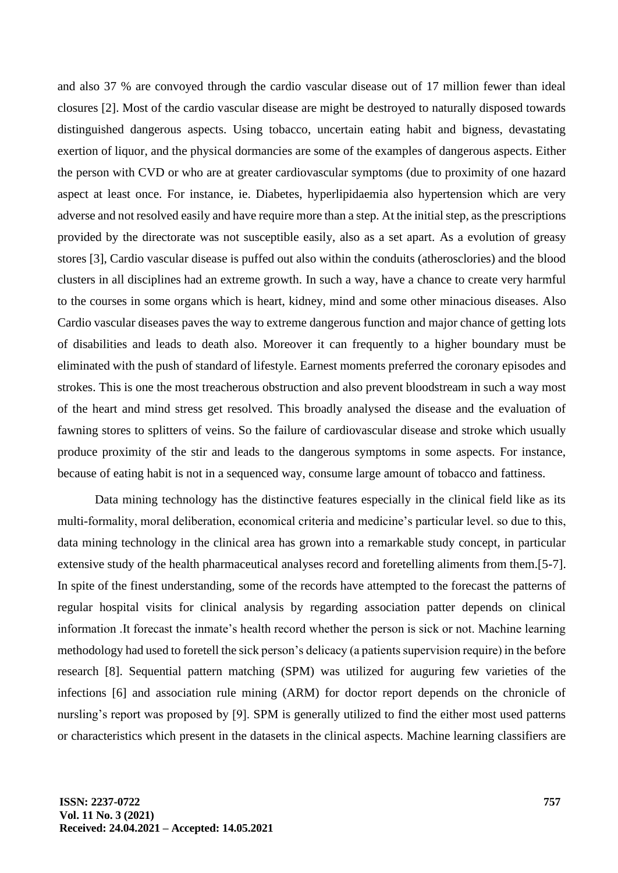and also 37 % are convoyed through the cardio vascular disease out of 17 million fewer than ideal closures [2]. Most of the cardio vascular disease are might be destroyed to naturally disposed towards distinguished dangerous aspects. Using tobacco, uncertain eating habit and bigness, devastating exertion of liquor, and the physical dormancies are some of the examples of dangerous aspects. Either the person with CVD or who are at greater cardiovascular symptoms (due to proximity of one hazard aspect at least once. For instance, ie. Diabetes, hyperlipidaemia also hypertension which are very adverse and not resolved easily and have require more than a step. At the initial step, as the prescriptions provided by the directorate was not susceptible easily, also as a set apart. As a evolution of greasy stores [3], Cardio vascular disease is puffed out also within the conduits (atherosclories) and the blood clusters in all disciplines had an extreme growth. In such a way, have a chance to create very harmful to the courses in some organs which is heart, kidney, mind and some other minacious diseases. Also Cardio vascular diseases paves the way to extreme dangerous function and major chance of getting lots of disabilities and leads to death also. Moreover it can frequently to a higher boundary must be eliminated with the push of standard of lifestyle. Earnest moments preferred the coronary episodes and strokes. This is one the most treacherous obstruction and also prevent bloodstream in such a way most of the heart and mind stress get resolved. This broadly analysed the disease and the evaluation of fawning stores to splitters of veins. So the failure of cardiovascular disease and stroke which usually produce proximity of the stir and leads to the dangerous symptoms in some aspects. For instance, because of eating habit is not in a sequenced way, consume large amount of tobacco and fattiness.

Data mining technology has the distinctive features especially in the clinical field like as its multi-formality, moral deliberation, economical criteria and medicine's particular level. so due to this, data mining technology in the clinical area has grown into a remarkable study concept, in particular extensive study of the health pharmaceutical analyses record and foretelling aliments from them.[5-7]. In spite of the finest understanding, some of the records have attempted to the forecast the patterns of regular hospital visits for clinical analysis by regarding association patter depends on clinical information .It forecast the inmate's health record whether the person is sick or not. Machine learning methodology had used to foretell the sick person's delicacy (a patients supervision require) in the before research [8]. Sequential pattern matching (SPM) was utilized for auguring few varieties of the infections [6] and association rule mining (ARM) for doctor report depends on the chronicle of nursling's report was proposed by [9]. SPM is generally utilized to find the either most used patterns or characteristics which present in the datasets in the clinical aspects. Machine learning classifiers are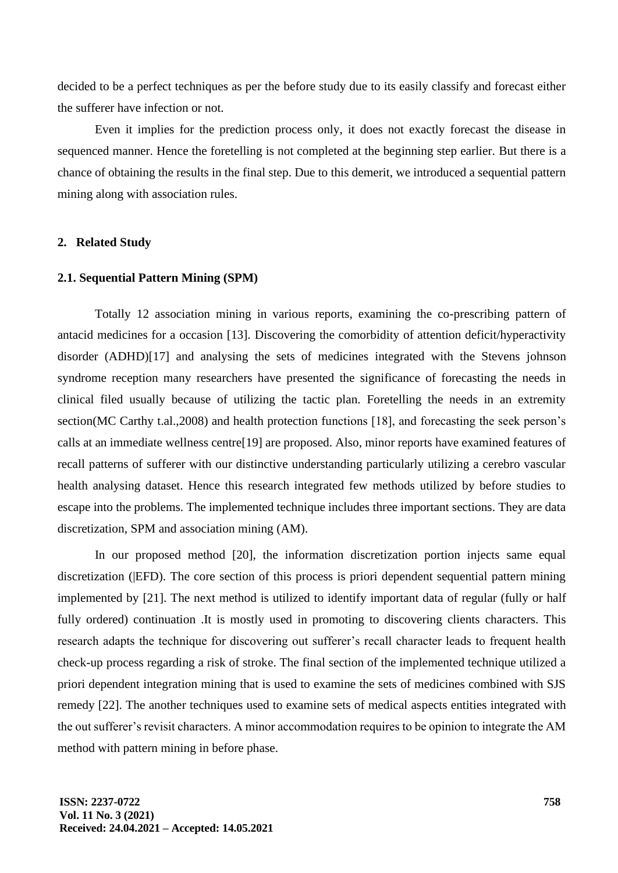decided to be a perfect techniques as per the before study due to its easily classify and forecast either the sufferer have infection or not.

Even it implies for the prediction process only, it does not exactly forecast the disease in sequenced manner. Hence the foretelling is not completed at the beginning step earlier. But there is a chance of obtaining the results in the final step. Due to this demerit, we introduced a sequential pattern mining along with association rules.

#### **2. Related Study**

#### **2.1. Sequential Pattern Mining (SPM)**

Totally 12 association mining in various reports, examining the co-prescribing pattern of antacid medicines for a occasion [13]. Discovering the comorbidity of attention deficit/hyperactivity disorder (ADHD)[17] and analysing the sets of medicines integrated with the Stevens johnson syndrome reception many researchers have presented the significance of forecasting the needs in clinical filed usually because of utilizing the tactic plan. Foretelling the needs in an extremity section(MC Carthy t.al.,2008) and health protection functions [18], and forecasting the seek person's calls at an immediate wellness centre[19] are proposed. Also, minor reports have examined features of recall patterns of sufferer with our distinctive understanding particularly utilizing a cerebro vascular health analysing dataset. Hence this research integrated few methods utilized by before studies to escape into the problems. The implemented technique includes three important sections. They are data discretization, SPM and association mining (AM).

In our proposed method [20], the information discretization portion injects same equal discretization (|EFD). The core section of this process is priori dependent sequential pattern mining implemented by [21]. The next method is utilized to identify important data of regular (fully or half fully ordered) continuation. It is mostly used in promoting to discovering clients characters. This research adapts the technique for discovering out sufferer's recall character leads to frequent health check-up process regarding a risk of stroke. The final section of the implemented technique utilized a priori dependent integration mining that is used to examine the sets of medicines combined with SJS remedy [22]. The another techniques used to examine sets of medical aspects entities integrated with the out sufferer's revisit characters. A minor accommodation requires to be opinion to integrate the AM method with pattern mining in before phase.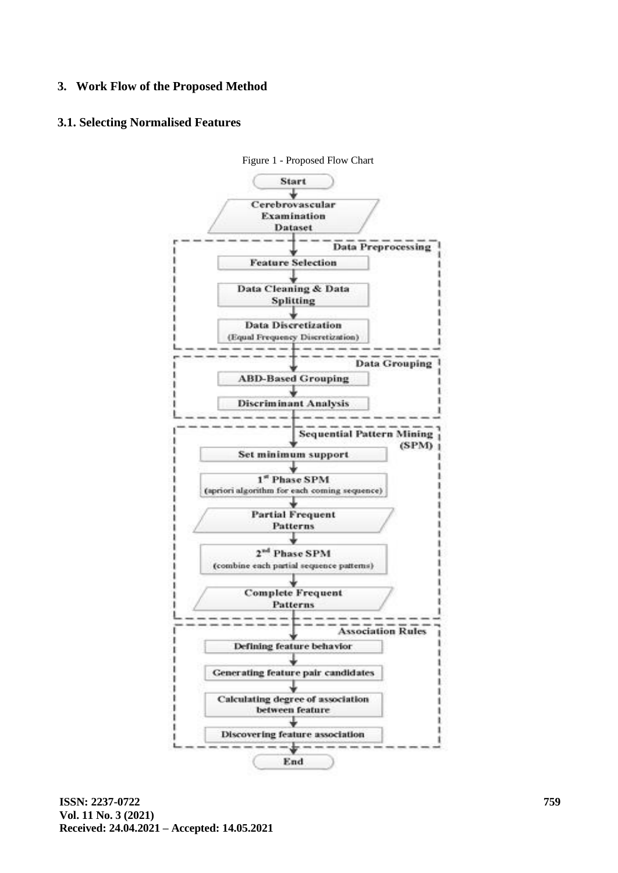# **3. Work Flow of the Proposed Method**

# **3.1. Selecting Normalised Features**



Figure 1 - Proposed Flow Chart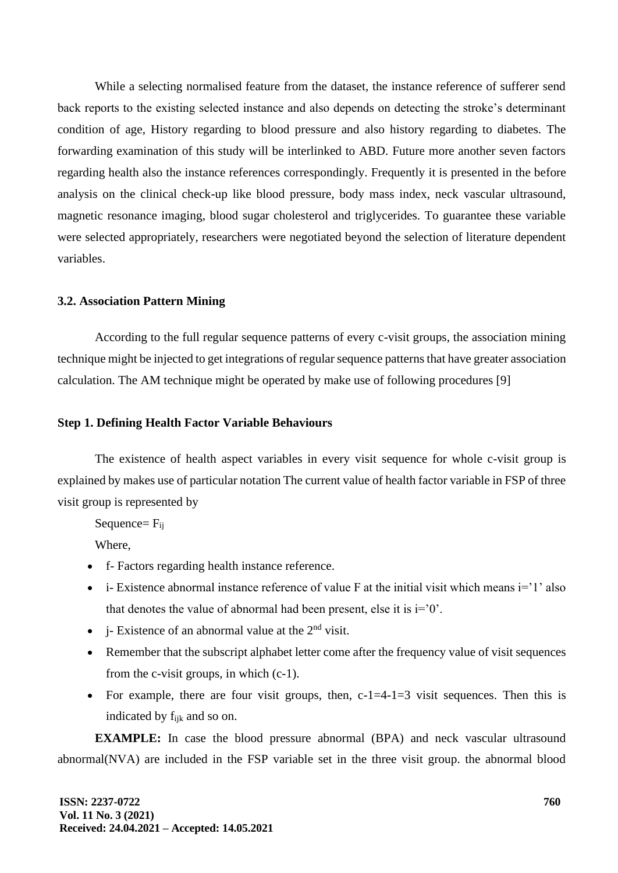While a selecting normalised feature from the dataset, the instance reference of sufferer send back reports to the existing selected instance and also depends on detecting the stroke's determinant condition of age, History regarding to blood pressure and also history regarding to diabetes. The forwarding examination of this study will be interlinked to ABD. Future more another seven factors regarding health also the instance references correspondingly. Frequently it is presented in the before analysis on the clinical check-up like blood pressure, body mass index, neck vascular ultrasound, magnetic resonance imaging, blood sugar cholesterol and triglycerides. To guarantee these variable were selected appropriately, researchers were negotiated beyond the selection of literature dependent variables.

### **3.2. Association Pattern Mining**

According to the full regular sequence patterns of every c-visit groups, the association mining technique might be injected to get integrations of regular sequence patterns that have greater association calculation. The AM technique might be operated by make use of following procedures [9]

#### **Step 1. Defining Health Factor Variable Behaviours**

The existence of health aspect variables in every visit sequence for whole c-visit group is explained by makes use of particular notation The current value of health factor variable in FSP of three visit group is represented by

Sequence=  $F_{ii}$ 

Where,

- f- Factors regarding health instance reference.
- $\bullet$  i- Existence abnormal instance reference of value F at the initial visit which means  $i=1$  also that denotes the value of abnormal had been present, else it is  $i=0$ .
- i- Existence of an abnormal value at the  $2<sup>nd</sup>$  visit.
- Remember that the subscript alphabet letter come after the frequency value of visit sequences from the c-visit groups, in which (c-1).
- For example, there are four visit groups, then,  $c$ -1=4-1=3 visit sequences. Then this is indicated by fijk and so on.

**EXAMPLE:** In case the blood pressure abnormal (BPA) and neck vascular ultrasound abnormal(NVA) are included in the FSP variable set in the three visit group. the abnormal blood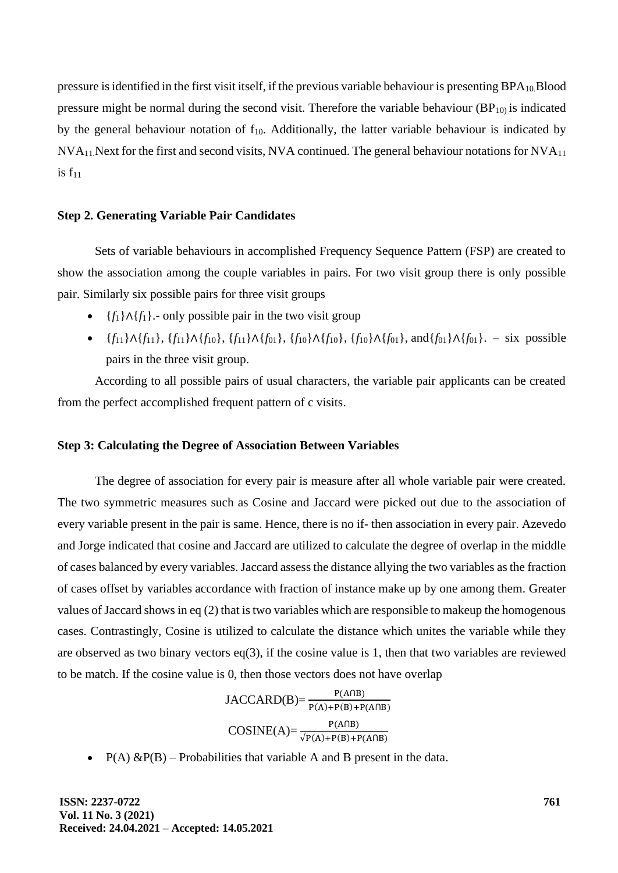pressure is identified in the first visit itself, if the previous variable behaviour is presenting BPA10.Blood pressure might be normal during the second visit. Therefore the variable behaviour  $(BP_{10})$  is indicated by the general behaviour notation of  $f_{10}$ . Additionally, the latter variable behaviour is indicated by NVA11.Next for the first and second visits, NVA continued. The general behaviour notations for NVA<sup>11</sup> is  $f_{11}$ 

### **Step 2. Generating Variable Pair Candidates**

Sets of variable behaviours in accomplished Frequency Sequence Pattern (FSP) are created to show the association among the couple variables in pairs. For two visit group there is only possible pair. Similarly six possible pairs for three visit groups

- ${f_1} \Lambda {f_1}$ . only possible pair in the two visit group
- {*f*11}∧{*f*11}, {*f*11}∧{*f*10}, {*f*11}∧{*f*01}, {*f*10}∧{*f*10}, {*f*10}∧{*f*01}, and{*f*01}∧{*f*01}. six possible pairs in the three visit group.

According to all possible pairs of usual characters, the variable pair applicants can be created from the perfect accomplished frequent pattern of c visits.

#### **Step 3: Calculating the Degree of Association Between Variables**

The degree of association for every pair is measure after all whole variable pair were created. The two symmetric measures such as Cosine and Jaccard were picked out due to the association of every variable present in the pair is same. Hence, there is no if- then association in every pair. Azevedo and Jorge indicated that cosine and Jaccard are utilized to calculate the degree of overlap in the middle of cases balanced by every variables. Jaccard assess the distance allying the two variables as the fraction of cases offset by variables accordance with fraction of instance make up by one among them. Greater values of Jaccard shows in eq (2) that is two variables which are responsible to makeup the homogenous cases. Contrastingly, Cosine is utilized to calculate the distance which unites the variable while they are observed as two binary vectors  $eq(3)$ , if the cosine value is 1, then that two variables are reviewed to be match. If the cosine value is 0, then those vectors does not have overlap

> $JACCARD(B) = \frac{P(A \cap B)}{P(A) + P(B) + P(A \cap B)}$  $COSINE(A) = \frac{P(A \cap B)}{\sqrt{P(A) + P(B) + P(A \cap B)}}$

•  $P(A) \& P(B)$  – Probabilities that variable A and B present in the data.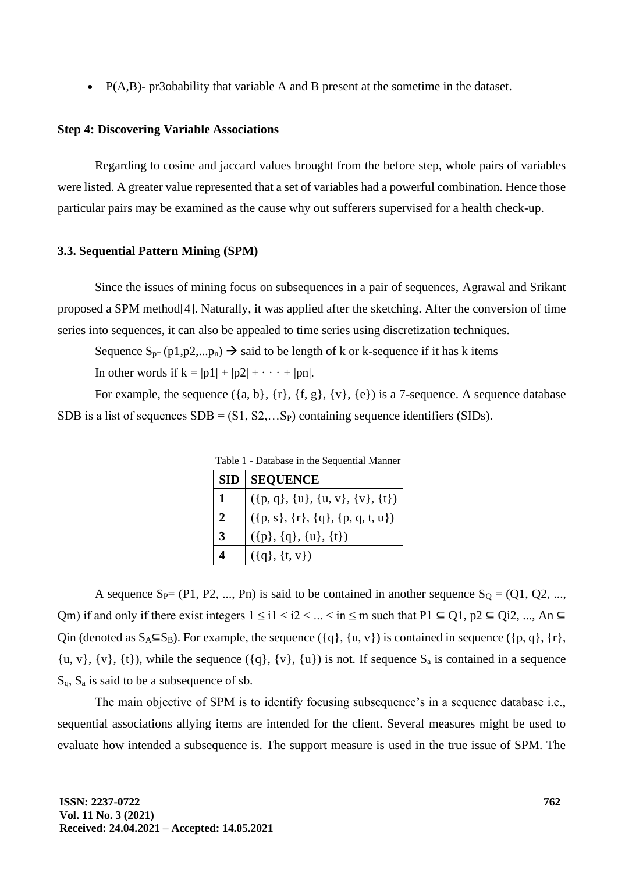• P(A,B)- pr3obability that variable A and B present at the sometime in the dataset.

#### **Step 4: Discovering Variable Associations**

Regarding to cosine and jaccard values brought from the before step, whole pairs of variables were listed. A greater value represented that a set of variables had a powerful combination. Hence those particular pairs may be examined as the cause why out sufferers supervised for a health check-up.

#### **3.3. Sequential Pattern Mining (SPM)**

Since the issues of mining focus on subsequences in a pair of sequences, Agrawal and Srikant proposed a SPM method[4]. Naturally, it was applied after the sketching. After the conversion of time series into sequences, it can also be appealed to time series using discretization techniques.

Sequence  $S_{p}$ = (p1,p2,...p<sub>n</sub>)  $\rightarrow$  said to be length of k or k-sequence if it has k items In other words if  $k = |p1| + |p2| + \cdots + |pn|$ .

For example, the sequence  $({a, b}, {r}, {f, g}, {v}, {e})$  is a 7-sequence. A sequence database SDB is a list of sequences  $SDB = (S1, S2, \ldots S_p)$  containing sequence identifiers (SIDs).

| Table 1 - Database in the Sequential Manner |                                    |  |
|---------------------------------------------|------------------------------------|--|
|                                             | <b>SID SEQUENCE</b>                |  |
| $\mathbf{1}$                                | $({p, q}, {u}, {u, v}, {v}, {t})$  |  |
| $\overline{2}$                              | $({p, s}, {r}, {q}, {p, q, t, u})$ |  |
| $\overline{3}$                              | $({p}, {q}, {u}, {t})$             |  |
|                                             | $({q}, {t}, {v})$                  |  |

Table 1 - Database in the Sequential Manner

A sequence  $S_P=(P1, P2, ..., Pn)$  is said to be contained in another sequence  $S_Q=(Q1, Q2, ...,$ Qm) if and only if there exist integers  $1 \le i1 < i2 < ... < in \le m$  such that  $P1 \subseteq Q1$ ,  $p2 \subseteq Qi2$ , ..., An  $\subseteq$ Qin (denoted as  $S_A \subseteq S_B$ ). For example, the sequence ({q}, {u, v}) is contained in sequence ({p, q}, {r},  $\{u, v\}$ ,  $\{v\}$ ,  $\{t\}$ ), while the sequence  $(\{q\}, \{v\}, \{u\})$  is not. If sequence  $S_a$  is contained in a sequence  $S_q$ ,  $S_a$  is said to be a subsequence of sb.

The main objective of SPM is to identify focusing subsequence's in a sequence database i.e., sequential associations allying items are intended for the client. Several measures might be used to evaluate how intended a subsequence is. The support measure is used in the true issue of SPM. The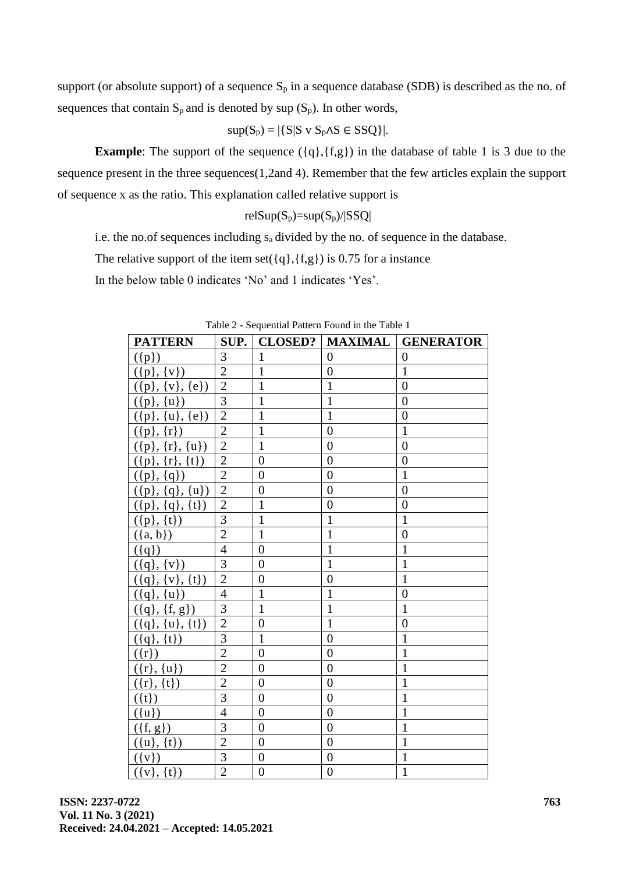support (or absolute support) of a sequence  $S_p$  in a sequence database (SDB) is described as the no. of sequences that contain  $S_p$  and is denoted by sup  $(S_p)$ . In other words,

$$
sup(S_p) = |\{S|S \vee S_p \wedge S \in SSQ\}|.
$$

**Example**: The support of the sequence ( $\{q\}$ , $\{fg\}$ ) in the database of table 1 is 3 due to the sequence present in the three sequences(1,2and 4). Remember that the few articles explain the support of sequence x as the ratio. This explanation called relative support is

$$
relSup(S_p)=\!\!\!sup(S_p)/|SSQ|
$$

i.e. the no.of sequences including sa divided by the no. of sequence in the database.

The relative support of the item set( $\{q\}$ , $\{f,g\}$ ) is 0.75 for a instance

In the below table 0 indicates 'No' and 1 indicates 'Yes'.

| <b>PATTERN</b>          |                | <b>SUP.</b>   CLOSED? |                | <b>MAXIMAL GENERATOR</b> |
|-------------------------|----------------|-----------------------|----------------|--------------------------|
| $(\{p\})$               | 3              | $\mathbf{1}$          | $\overline{0}$ | $\theta$                 |
| $({p}, {v})$            | $\overline{2}$ | $\mathbf{1}$          | $\overline{0}$ | $\mathbf{1}$             |
| $(\{p\}, \{v\}, \{e\})$ | $\overline{2}$ | $\mathbf{1}$          | $\mathbf{1}$   | $\overline{0}$           |
| $({p}, {u})$            | $\overline{3}$ | $\mathbf{1}$          | $\mathbf{1}$   | $\overline{0}$           |
| $({p}, {u}, {e})$       | $\overline{2}$ | $\mathbf{1}$          | $\mathbf{1}$   | $\boldsymbol{0}$         |
| $({p}, {r})$            | $\overline{2}$ | $\mathbf{1}$          | $\overline{0}$ | $\mathbf{1}$             |
| $({p}, {r}, {u})$       | $\overline{2}$ | $\mathbf{1}$          | $\overline{0}$ | $\overline{0}$           |
| $({p}, {r}, {t})$       | $\overline{2}$ | $\overline{0}$        | $\overline{0}$ | $\overline{0}$           |
| $({p}, {q})$            | $\overline{2}$ | $\overline{0}$        | $\overline{0}$ | $\mathbf{1}$             |
| $({p}, {q}, {u})$       | $\overline{2}$ | $\overline{0}$        | $\overline{0}$ | $\overline{0}$           |
| $(\{p\}, \{q\}, \{t\})$ | $\overline{2}$ | $\mathbf{1}$          | $\overline{0}$ | $\overline{0}$           |
| $({p}, {t})$            | 3              | $\mathbf{1}$          | $\mathbf{1}$   | $\mathbf{1}$             |
| $({a, b})$              | $\overline{2}$ | $\mathbf{1}$          | $\mathbf{1}$   | $\overline{0}$           |
| $(\{q\})$               | $\overline{4}$ | $\overline{0}$        | $\mathbf{1}$   | $\mathbf{1}$             |
| $({q}, {v})$            | $\overline{3}$ | $\overline{0}$        | $\mathbf{1}$   | $\mathbf{1}$             |
| $({q}, {v}, {t})$       | $\overline{2}$ | $\overline{0}$        | $\overline{0}$ | $\mathbf{1}$             |
| $({q}, {u})$            | $\overline{4}$ | $\mathbf{1}$          | $\mathbf{1}$   | $\overline{0}$           |
| $({q}, {f}, {g})$       | 3              | $\mathbf{1}$          | $\mathbf{1}$   | $\mathbf{1}$             |
| $({q}, {u}, {t})$       | $\overline{2}$ | $\overline{0}$        | $\mathbf{1}$   | $\overline{0}$           |
| $({q}, {t})$            | 3              | $\mathbf{1}$          | $\overline{0}$ | $\mathbf{1}$             |
| $(\{r\})$               | $\overline{2}$ | $\overline{0}$        | $\overline{0}$ | $\mathbf{1}$             |
| $({r}, {u})$            | $\overline{2}$ | $\overline{0}$        | $\overline{0}$ | $\mathbf{1}$             |
| $({r}, {t})$            | $\overline{2}$ | $\overline{0}$        | $\overline{0}$ | $\mathbf{1}$             |
| $({t})$                 | $\overline{3}$ | $\overline{0}$        | $\overline{0}$ | $\mathbf{1}$             |
| $({u})$                 | $\overline{4}$ | $\overline{0}$        | $\overline{0}$ | $\mathbf{1}$             |
| $(\{f, g\})$            | 3              | $\overline{0}$        | $\overline{0}$ | $\mathbf{1}$             |
| $({u}, {t})$            | $\overline{2}$ | $\overline{0}$        | $\overline{0}$ | $\mathbf{1}$             |
| $(\{v\})$               | $\overline{3}$ | $\overline{0}$        | $\overline{0}$ | $\mathbf{1}$             |
| $({v}, {t})$            | $\overline{2}$ | $\overline{0}$        | $\overline{0}$ | $\mathbf{1}$             |

Table 2 - Sequential Pattern Found in the Table 1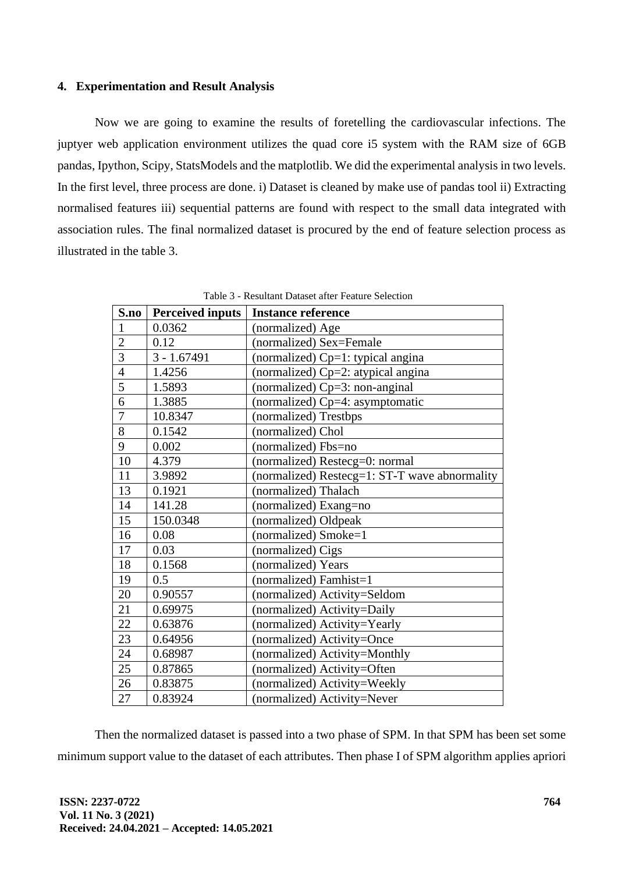# **4. Experimentation and Result Analysis**

Now we are going to examine the results of foretelling the cardiovascular infections. The juptyer web application environment utilizes the quad core i5 system with the RAM size of 6GB pandas, Ipython, Scipy, StatsModels and the matplotlib. We did the experimental analysis in two levels. In the first level, three process are done. i) Dataset is cleaned by make use of pandas tool ii) Extracting normalised features iii) sequential patterns are found with respect to the small data integrated with association rules. The final normalized dataset is procured by the end of feature selection process as illustrated in the table 3.

| S.no           | Perceived inputs | <b>Instance reference</b>                     |
|----------------|------------------|-----------------------------------------------|
| $\mathbf{1}$   | 0.0362           | (normalized) Age                              |
| $\overline{2}$ | 0.12             | (normalized) Sex=Female                       |
| $\overline{3}$ | $3 - 1.67491$    | (normalized) $Cp=1$ : typical angina          |
| $\overline{4}$ | 1.4256           | (normalized) Cp=2: atypical angina            |
| 5              | 1.5893           | (normalized) $Cp=3$ : non-anginal             |
| 6              | 1.3885           | (normalized) Cp=4: asymptomatic               |
| $\overline{7}$ | 10.8347          | (normalized) Trestbps                         |
| 8              | 0.1542           | (normalized) Chol                             |
| 9              | 0.002            | (normalized) Fbs=no                           |
| 10             | 4.379            | (normalized) Restecg=0: normal                |
| 11             | 3.9892           | (normalized) Restecg=1: ST-T wave abnormality |
| 13             | 0.1921           | (normalized) Thalach                          |
| 14             | 141.28           | (normalized) Exang=no                         |
| 15             | 150.0348         | (normalized) Oldpeak                          |
| 16             | 0.08             | (normalized) Smoke=1                          |
| 17             | 0.03             | (normalized) Cigs                             |
| 18             | 0.1568           | (normalized) Years                            |
| 19             | 0.5              | (normalized) Famhist=1                        |
| 20             | 0.90557          | (normalized) Activity=Seldom                  |
| 21             | 0.69975          | (normalized) Activity=Daily                   |
| 22             | 0.63876          | (normalized) Activity=Yearly                  |
| 23             | 0.64956          | (normalized) Activity=Once                    |
| 24             | 0.68987          | (normalized) Activity=Monthly                 |
| 25             | 0.87865          | (normalized) Activity=Often                   |
| 26             | 0.83875          | (normalized) Activity=Weekly                  |
| 27             | 0.83924          | (normalized) Activity=Never                   |

Table 3 - Resultant Dataset after Feature Selection

Then the normalized dataset is passed into a two phase of SPM. In that SPM has been set some minimum support value to the dataset of each attributes. Then phase I of SPM algorithm applies apriori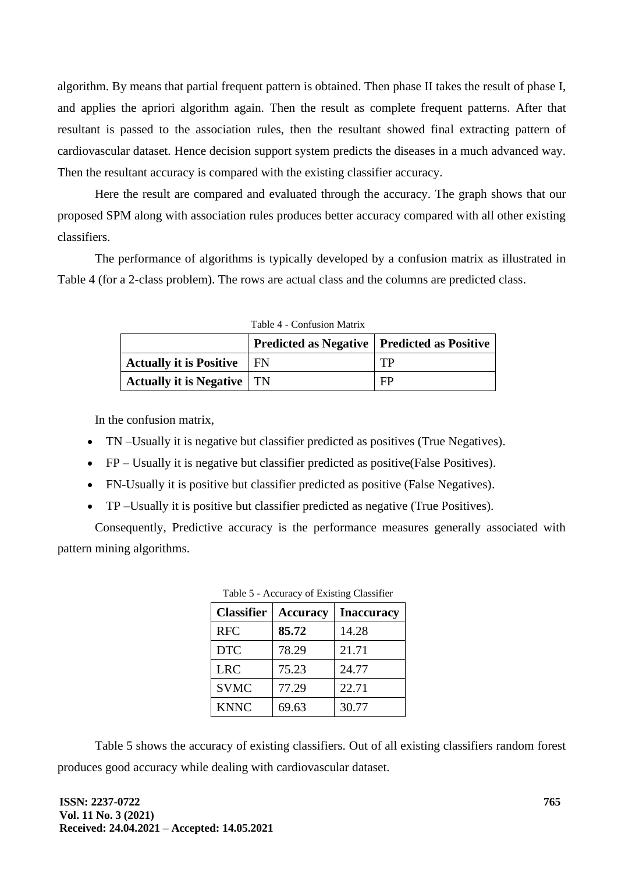algorithm. By means that partial frequent pattern is obtained. Then phase II takes the result of phase I, and applies the apriori algorithm again. Then the result as complete frequent patterns. After that resultant is passed to the association rules, then the resultant showed final extracting pattern of cardiovascular dataset. Hence decision support system predicts the diseases in a much advanced way. Then the resultant accuracy is compared with the existing classifier accuracy.

Here the result are compared and evaluated through the accuracy. The graph shows that our proposed SPM along with association rules produces better accuracy compared with all other existing classifiers.

The performance of algorithms is typically developed by a confusion matrix as illustrated in Table 4 (for a 2-class problem). The rows are actual class and the columns are predicted class.

|                                     | Predicted as Negative   Predicted as Positive |    |
|-------------------------------------|-----------------------------------------------|----|
| <b>Actually it is Positive</b>      | ∣ FN                                          | TP |
| <b>Actually it is Negative</b>   TN |                                               | FP |

Table 4 - Confusion Matrix

In the confusion matrix,

- TN –Usually it is negative but classifier predicted as positives (True Negatives).
- FP Usually it is negative but classifier predicted as positive(False Positives).
- FN-Usually it is positive but classifier predicted as positive (False Negatives).
- TP –Usually it is positive but classifier predicted as negative (True Positives).

Consequently, Predictive accuracy is the performance measures generally associated with pattern mining algorithms.

| <b>Classifier</b> | <b>Accuracy</b> | <b>Inaccuracy</b> |
|-------------------|-----------------|-------------------|
| <b>RFC</b>        | 85.72           | 14.28             |
| <b>DTC</b>        | 78.29           | 21.71             |
| <b>LRC</b>        | 75.23           | 24.77             |
| <b>SVMC</b>       | 77.29           | 22.71             |
| <b>KNNC</b>       | 69.63           | 30.77             |

|  | Table 5 - Accuracy of Existing Classifier |  |  |
|--|-------------------------------------------|--|--|
|--|-------------------------------------------|--|--|

Table 5 shows the accuracy of existing classifiers. Out of all existing classifiers random forest produces good accuracy while dealing with cardiovascular dataset.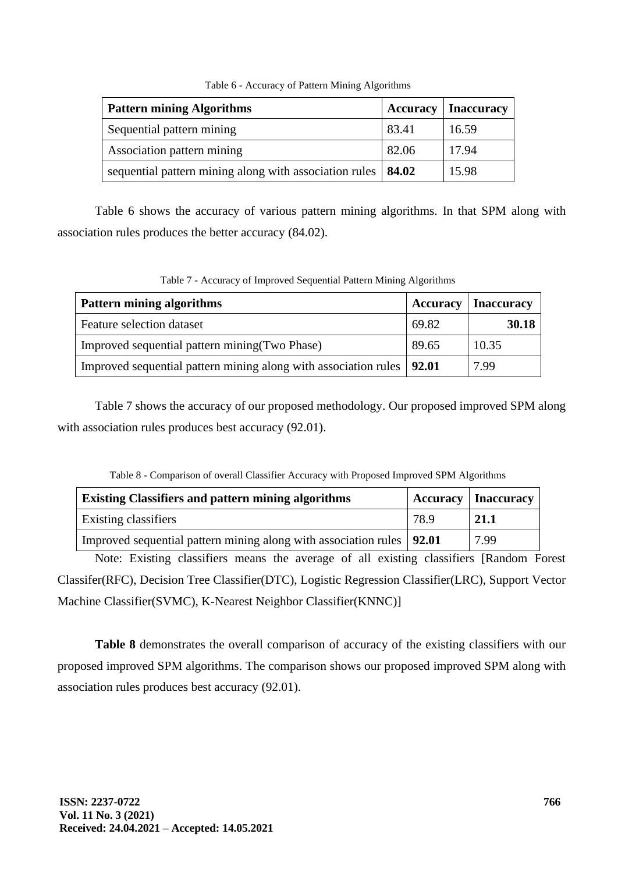| <b>Pattern mining Algorithms</b>                               |       | <b>Accuracy</b>   Inaccuracy |
|----------------------------------------------------------------|-------|------------------------------|
| Sequential pattern mining                                      | 83.41 | 16.59                        |
| Association pattern mining                                     | 82.06 | 17.94                        |
| sequential pattern mining along with association rules   84.02 |       | 15.98                        |

Table 6 - Accuracy of Pattern Mining Algorithms

Table 6 shows the accuracy of various pattern mining algorithms. In that SPM along with association rules produces the better accuracy (84.02).

Table 7 - Accuracy of Improved Sequential Pattern Mining Algorithms

| <b>Pattern mining algorithms</b>                                        | <b>Accuracy</b> | <b>Inaccuracy</b> |
|-------------------------------------------------------------------------|-----------------|-------------------|
| Feature selection dataset                                               | 69.82           | 30.18             |
| Improved sequential pattern mining (Two Phase)                          | 89.65           | 10.35             |
| Improved sequential pattern mining along with association rules   92.01 |                 | 7.99              |

Table 7 shows the accuracy of our proposed methodology. Our proposed improved SPM along with association rules produces best accuracy (92.01).

| Table 8 - Comparison of Overall Classifier Accuracy while Floposed improved SF M Algorithms |      |                              |  |
|---------------------------------------------------------------------------------------------|------|------------------------------|--|
| <b>Existing Classifiers and pattern mining algorithms</b>                                   |      | <b>Accuracy</b>   Inaccuracy |  |
| Existing classifiers                                                                        | 78.9 | 21.1                         |  |
| Improved sequential pattern mining along with association rules   92.01                     |      | 7.99                         |  |

Table 8 - Comparison of overall Classifier Accuracy with Proposed Improved SPM Algorithms

Note: Existing classifiers means the average of all existing classifiers [Random Forest Classifer(RFC), Decision Tree Classifier(DTC), Logistic Regression Classifier(LRC), Support Vector Machine Classifier(SVMC), K-Nearest Neighbor Classifier(KNNC)]

Table 8 demonstrates the overall comparison of accuracy of the existing classifiers with our proposed improved SPM algorithms. The comparison shows our proposed improved SPM along with association rules produces best accuracy (92.01).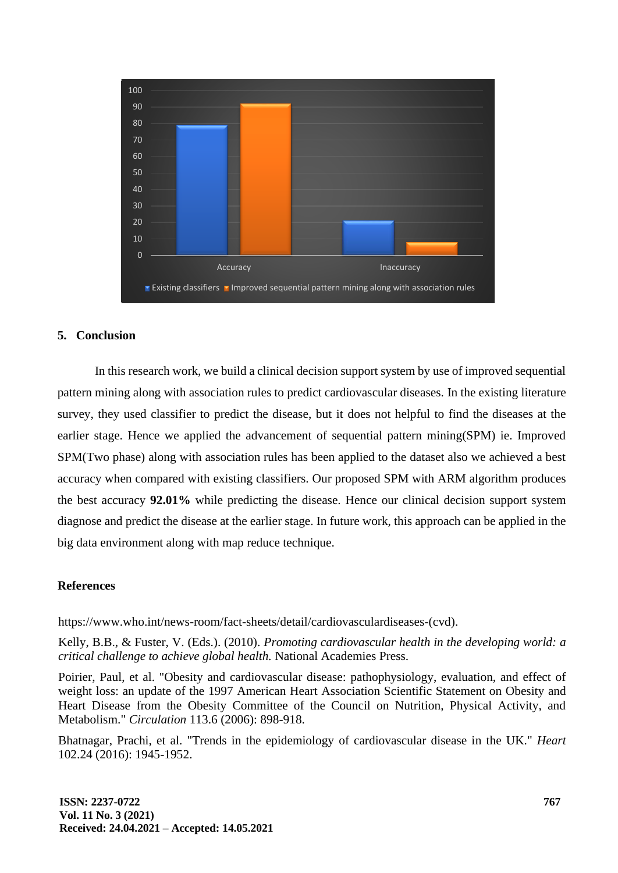

# **5. Conclusion**

In this research work, we build a clinical decision support system by use of improved sequential pattern mining along with association rules to predict cardiovascular diseases. In the existing literature survey, they used classifier to predict the disease, but it does not helpful to find the diseases at the earlier stage. Hence we applied the advancement of sequential pattern mining(SPM) ie. Improved SPM(Two phase) along with association rules has been applied to the dataset also we achieved a best accuracy when compared with existing classifiers. Our proposed SPM with ARM algorithm produces the best accuracy **92.01%** while predicting the disease. Hence our clinical decision support system diagnose and predict the disease at the earlier stage. In future work, this approach can be applied in the big data environment along with map reduce technique.

## **References**

https://www.who.int/news-room/fact-sheets/detail/cardiovasculardiseases-(cvd).

Kelly, B.B., & Fuster, V. (Eds.). (2010). *Promoting cardiovascular health in the developing world: a critical challenge to achieve global health.* National Academies Press.

Poirier, Paul, et al. "Obesity and cardiovascular disease: pathophysiology, evaluation, and effect of weight loss: an update of the 1997 American Heart Association Scientific Statement on Obesity and Heart Disease from the Obesity Committee of the Council on Nutrition, Physical Activity, and Metabolism." *Circulation* 113.6 (2006): 898-918.

Bhatnagar, Prachi, et al. "Trends in the epidemiology of cardiovascular disease in the UK." *Heart*  102.24 (2016): 1945-1952.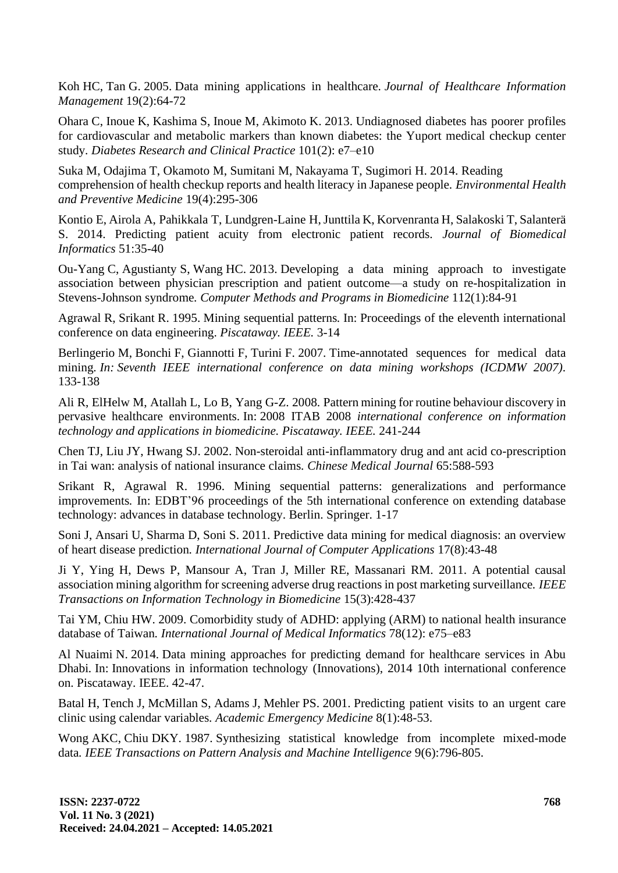Koh HC, Tan G. 2005. Data mining applications in healthcare*. Journal of Healthcare Information Management* 19(2):64-72

Ohara C, Inoue K, Kashima S, Inoue M, Akimoto K. 2013. Undiagnosed diabetes has poorer profiles for cardiovascular and metabolic markers than known diabetes: the Yuport medical checkup center study*. Diabetes Research and Clinical Practice* 101(2): e7–e10

Suka M, Odajima T, Okamoto M, Sumitani M, Nakayama T, Sugimori H. 2014. Reading comprehension of health checkup reports and health literacy in Japanese people*. Environmental Health and Preventive Medicine* 19(4):295-306

Kontio E, Airola A, Pahikkala T, Lundgren-Laine H, Junttila K, Korvenranta H, Salakoski T, Salanterä S. 2014. Predicting patient acuity from electronic patient records*. Journal of Biomedical Informatics* 51:35-40

Ou-Yang C, Agustianty S, Wang HC. 2013. Developing a data mining approach to investigate association between physician prescription and patient outcome—a study on re-hospitalization in Stevens-Johnson syndrome*. Computer Methods and Programs in Biomedicine* 112(1):84-91

Agrawal R, Srikant R. 1995. Mining sequential patterns*.* In: Proceedings of the eleventh international conference on data engineering. *Piscataway. IEEE.* 3-14

Berlingerio M, Bonchi F, Giannotti F, Turini F. 2007. Time-annotated sequences for medical data mining*. In: Seventh IEEE international conference on data mining workshops (ICDMW 2007).*  133-138

Ali R, ElHelw M, Atallah L, Lo B, Yang G-Z. 2008. Pattern mining for routine behaviour discovery in pervasive healthcare environments*.* In: 2008 ITAB 2008 *international conference on information technology and applications in biomedicine. Piscataway. IEEE.* 241-244

Chen TJ, Liu JY, Hwang SJ. 2002. Non-steroidal anti-inflammatory drug and ant acid co-prescription in Tai wan: analysis of national insurance claims*. Chinese Medical Journal* 65:588-593

Srikant R, Agrawal R. 1996. Mining sequential patterns: generalizations and performance improvements*.* In: EDBT'96 proceedings of the 5th international conference on extending database technology: advances in database technology. Berlin. Springer. 1-17

Soni J, Ansari U, Sharma D, Soni S. 2011. Predictive data mining for medical diagnosis: an overview of heart disease prediction*. International Journal of Computer Applications* 17(8):43-48

Ji Y, Ying H, Dews P, Mansour A, Tran J, Miller RE, Massanari RM. 2011. A potential causal association mining algorithm for screening adverse drug reactions in post marketing surveillance*. IEEE Transactions on Information Technology in Biomedicine* 15(3):428-437

Tai YM, Chiu HW. 2009. Comorbidity study of ADHD: applying (ARM) to national health insurance database of Taiwan*. International Journal of Medical Informatics* 78(12): e75–e83

Al Nuaimi N. 2014. Data mining approaches for predicting demand for healthcare services in Abu Dhabi*.* In: Innovations in information technology (Innovations), 2014 10th international conference on. Piscataway. IEEE. 42-47.

Batal H, Tench J, McMillan S, Adams J, Mehler PS. 2001. Predicting patient visits to an urgent care clinic using calendar variables*. Academic Emergency Medicine* 8(1):48-53.

Wong AKC, Chiu DKY. 1987. Synthesizing statistical knowledge from incomplete mixed-mode data*. IEEE Transactions on Pattern Analysis and Machine Intelligence* 9(6):796-805.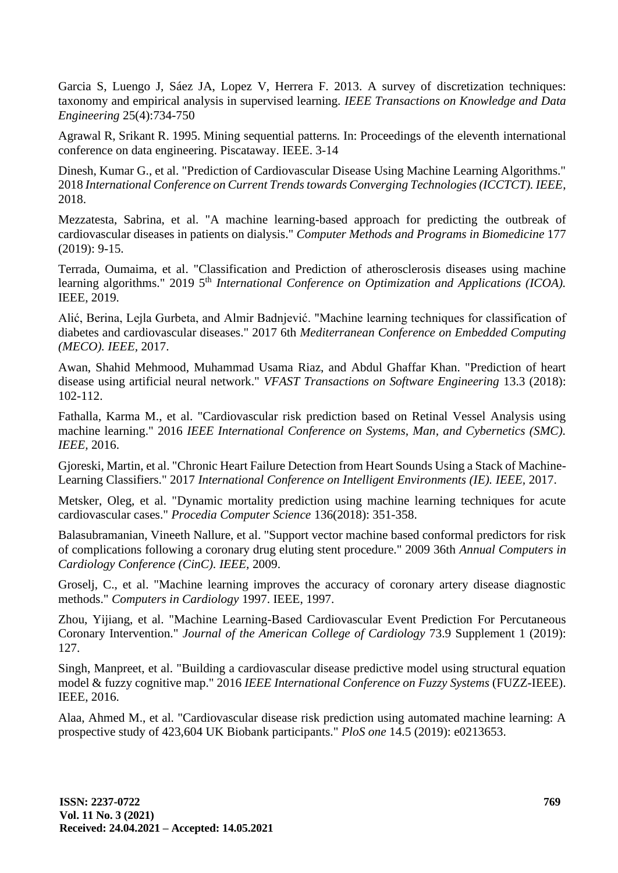Garcia S, Luengo J, Sáez JA, Lopez V, Herrera F. 2013. A survey of discretization techniques: taxonomy and empirical analysis in supervised learning*. IEEE Transactions on Knowledge and Data Engineering* 25(4):734-750

Agrawal R, Srikant R. 1995. Mining sequential patterns*.* In: Proceedings of the eleventh international conference on data engineering. Piscataway. IEEE. 3-14

Dinesh, Kumar G., et al. "Prediction of Cardiovascular Disease Using Machine Learning Algorithms." 2018 *International Conference on Current Trends towards Converging Technologies (ICCTCT). IEEE*, 2018.

Mezzatesta, Sabrina, et al. "A machine learning-based approach for predicting the outbreak of cardiovascular diseases in patients on dialysis." *Computer Methods and Programs in Biomedicine* 177 (2019): 9-15.

Terrada, Oumaima, et al. "Classification and Prediction of atherosclerosis diseases using machine learning algorithms." 2019 5<sup>th</sup> *International Conference on Optimization and Applications (ICOA).* IEEE, 2019.

Alić, Berina, Lejla Gurbeta, and Almir Badnjević. "Machine learning techniques for classification of diabetes and cardiovascular diseases." 2017 6th *Mediterranean Conference on Embedded Computing (MECO). IEEE,* 2017.

Awan, Shahid Mehmood, Muhammad Usama Riaz, and Abdul Ghaffar Khan. "Prediction of heart disease using artificial neural network." *VFAST Transactions on Software Engineering* 13.3 (2018): 102-112.

Fathalla, Karma M., et al. "Cardiovascular risk prediction based on Retinal Vessel Analysis using machine learning." 2016 *IEEE International Conference on Systems, Man, and Cybernetics (SMC). IEEE,* 2016.

Gjoreski, Martin, et al. "Chronic Heart Failure Detection from Heart Sounds Using a Stack of Machine-Learning Classifiers." 2017 *International Conference on Intelligent Environments (IE). IEEE,* 2017.

Metsker, Oleg, et al. "Dynamic mortality prediction using machine learning techniques for acute cardiovascular cases." *Procedia Computer Science* 136(2018): 351-358.

Balasubramanian, Vineeth Nallure, et al. "Support vector machine based conformal predictors for risk of complications following a coronary drug eluting stent procedure." 2009 36th *Annual Computers in Cardiology Conference (CinC). IEEE,* 2009.

Groselj, C., et al. "Machine learning improves the accuracy of coronary artery disease diagnostic methods." *Computers in Cardiology* 1997. IEEE, 1997.

Zhou, Yijiang, et al. "Machine Learning-Based Cardiovascular Event Prediction For Percutaneous Coronary Intervention." *Journal of the American College of Cardiology* 73.9 Supplement 1 (2019): 127.

Singh, Manpreet, et al. "Building a cardiovascular disease predictive model using structural equation model & fuzzy cognitive map." 2016 *IEEE International Conference on Fuzzy Systems* (FUZZ-IEEE). IEEE, 2016.

Alaa, Ahmed M., et al. "Cardiovascular disease risk prediction using automated machine learning: A prospective study of 423,604 UK Biobank participants." *PloS one* 14.5 (2019): e0213653.